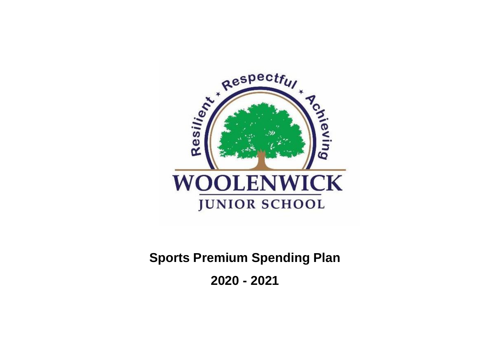

**Sports Premium Spending Plan**

**2020 - 2021**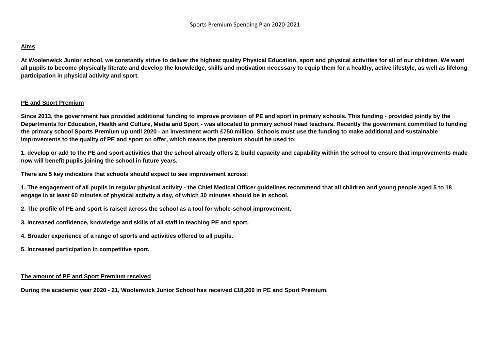## **Aims**

**At Woolenwick Junior school, we constantly strive to deliver the highest quality Physical Education, sport and physical activities for all of our children. We want all pupils to become physically literate and develop the knowledge, skills and motivation necessary to equip them for a healthy, active lifestyle, as well as lifelong participation in physical activity and sport.** 

## **PE and Sport Premium**

**Since 2013, the government has provided additional funding to improve provision of PE and sport in primary schools. This funding - provided jointly by the Departments for Education, Health and Culture, Media and Sport - was allocated to primary school head teachers. Recently the government committed to funding the primary school Sports Premium up until 2020 - an investment worth £750 million. Schools must use the funding to make additional and sustainable improvements to the quality of PE and sport on offer, which means the premium should be used to:** 

**1. develop or add to the PE and sport activities that the school already offers 2. build capacity and capability within the school to ensure that improvements made now will benefit pupils joining the school in future years.** 

**There are 5 key indicators that schools should expect to see improvement across:** 

**1. The engagement of all pupils in regular physical activity - the Chief Medical Officer guidelines recommend that all children and young people aged 5 to 18 engage in at least 60 minutes of physical activity a day, of which 30 minutes should be in school.** 

- **2. The profile of PE and sport is raised across the school as a tool for whole-school improvement.**
- **3. Increased confidence, knowledge and skills of all staff in teaching PE and sport.**
- **4. Broader experience of a range of sports and activities offered to all pupils.**
- **5. Increased participation in competitive sport.**

## **The amount of PE and Sport Premium received**

**During the academic year 2020 - 21, Woolenwick Junior School has received £18,260 in PE and Sport Premium.**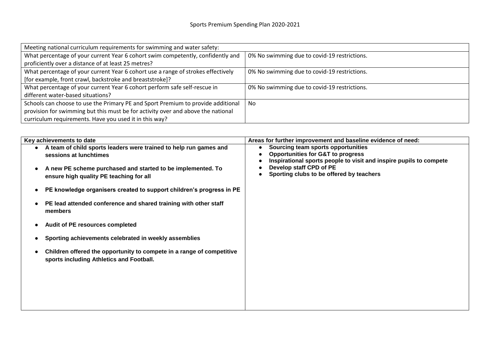| Meeting national curriculum requirements for swimming and water safety:          |                                              |  |  |  |
|----------------------------------------------------------------------------------|----------------------------------------------|--|--|--|
| What percentage of your current Year 6 cohort swim competently, confidently and  | 0% No swimming due to covid-19 restrictions. |  |  |  |
| proficiently over a distance of at least 25 metres?                              |                                              |  |  |  |
| What percentage of your current Year 6 cohort use a range of strokes effectively | 0% No swimming due to covid-19 restrictions. |  |  |  |
| [for example, front crawl, backstroke and breaststroke]?                         |                                              |  |  |  |
| What percentage of your current Year 6 cohort perform safe self-rescue in        | 0% No swimming due to covid-19 restrictions. |  |  |  |
| different water-based situations?                                                |                                              |  |  |  |
| Schools can choose to use the Primary PE and Sport Premium to provide additional | No.                                          |  |  |  |
| provision for swimming but this must be for activity over and above the national |                                              |  |  |  |
| curriculum requirements. Have you used it in this way?                           |                                              |  |  |  |

| Key achievements to date                                                                                                                                                                              | Areas for further improvement and baseline evidence of need:                                                                                                                                                                                 |
|-------------------------------------------------------------------------------------------------------------------------------------------------------------------------------------------------------|----------------------------------------------------------------------------------------------------------------------------------------------------------------------------------------------------------------------------------------------|
| A team of child sports leaders were trained to help run games and<br>sessions at lunchtimes<br>A new PE scheme purchased and started to be implemented. To<br>ensure high quality PE teaching for all | Sourcing team sports opportunities<br>$\bullet$<br><b>Opportunities for G&amp;T to progress</b><br>Inspirational sports people to visit and inspire pupils to compete<br>Develop staff CPD of PE<br>Sporting clubs to be offered by teachers |
| PE knowledge organisers created to support children's progress in PE                                                                                                                                  |                                                                                                                                                                                                                                              |
| PE lead attended conference and shared training with other staff<br>members                                                                                                                           |                                                                                                                                                                                                                                              |
| Audit of PE resources completed                                                                                                                                                                       |                                                                                                                                                                                                                                              |
| Sporting achievements celebrated in weekly assemblies                                                                                                                                                 |                                                                                                                                                                                                                                              |
| Children offered the opportunity to compete in a range of competitive<br>sports including Athletics and Football.                                                                                     |                                                                                                                                                                                                                                              |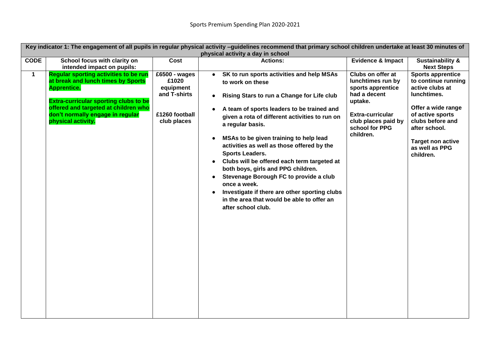|             | Key indicator 1: The engagement of all pupils in regular physical activity -guidelines recommend that primary school children undertake at least 30 minutes of<br>physical activity a day in school                                                        |                                                                                      |                                                                                                                                                                                                                                                                                                                                                                                                                                                                                                                                                                                                                       |                                                                                                                                                                         |                                                                                                                                                                                                                             |
|-------------|------------------------------------------------------------------------------------------------------------------------------------------------------------------------------------------------------------------------------------------------------------|--------------------------------------------------------------------------------------|-----------------------------------------------------------------------------------------------------------------------------------------------------------------------------------------------------------------------------------------------------------------------------------------------------------------------------------------------------------------------------------------------------------------------------------------------------------------------------------------------------------------------------------------------------------------------------------------------------------------------|-------------------------------------------------------------------------------------------------------------------------------------------------------------------------|-----------------------------------------------------------------------------------------------------------------------------------------------------------------------------------------------------------------------------|
| <b>CODE</b> | School focus with clarity on<br>intended impact on pupils:                                                                                                                                                                                                 | Cost                                                                                 | <b>Actions:</b>                                                                                                                                                                                                                                                                                                                                                                                                                                                                                                                                                                                                       | <b>Evidence &amp; Impact</b>                                                                                                                                            | <b>Sustainability &amp;</b><br><b>Next Steps</b>                                                                                                                                                                            |
| $\mathbf 1$ | <b>Regular sporting activities to be run</b><br>at break and lunch times by Sports<br><b>Apprentice.</b><br><b>Extra-curricular sporting clubs to be</b><br>offered and targeted at children who<br>don't normally engage in regular<br>physical activity. | £6500 - wages<br>£1020<br>equipment<br>and T-shirts<br>£1260 football<br>club places | SK to run sports activities and help MSAs<br>to work on these<br>Rising Stars to run a Change for Life club<br>A team of sports leaders to be trained and<br>given a rota of different activities to run on<br>a regular basis.<br>MSAs to be given training to help lead<br>activities as well as those offered by the<br><b>Sports Leaders.</b><br>Clubs will be offered each term targeted at<br>both boys, girls and PPG children.<br>Stevenage Borough FC to provide a club<br>once a week.<br>Investigate if there are other sporting clubs<br>in the area that would be able to offer an<br>after school club. | Clubs on offer at<br>lunchtimes run by<br>sports apprentice<br>had a decent<br>uptake.<br><b>Extra-curricular</b><br>club places paid by<br>school for PPG<br>children. | <b>Sports apprentice</b><br>to continue running<br>active clubs at<br>lunchtimes.<br>Offer a wide range<br>of active sports<br>clubs before and<br>after school.<br><b>Target non active</b><br>as well as PPG<br>children. |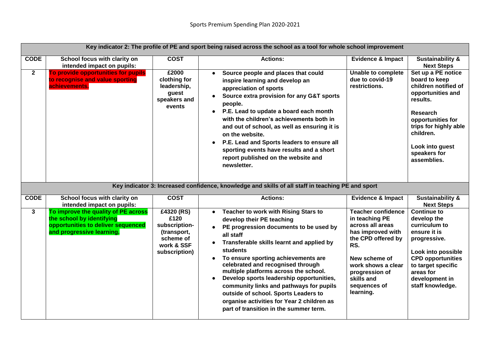|              | Key indicator 2: The profile of PE and sport being raised across the school as a tool for whole school improvement                  |                                                                                                |                                                                                                                                                                                                                                                                                                                                                                                                                                                                                                                                                                                                |                                                                                                                                                                                                                       |                                                                                                                                                                                                                              |
|--------------|-------------------------------------------------------------------------------------------------------------------------------------|------------------------------------------------------------------------------------------------|------------------------------------------------------------------------------------------------------------------------------------------------------------------------------------------------------------------------------------------------------------------------------------------------------------------------------------------------------------------------------------------------------------------------------------------------------------------------------------------------------------------------------------------------------------------------------------------------|-----------------------------------------------------------------------------------------------------------------------------------------------------------------------------------------------------------------------|------------------------------------------------------------------------------------------------------------------------------------------------------------------------------------------------------------------------------|
| <b>CODE</b>  | School focus with clarity on<br>intended impact on pupils:                                                                          | <b>COST</b>                                                                                    | <b>Actions:</b>                                                                                                                                                                                                                                                                                                                                                                                                                                                                                                                                                                                | <b>Evidence &amp; Impact</b>                                                                                                                                                                                          | <b>Sustainability &amp;</b><br><b>Next Steps</b>                                                                                                                                                                             |
| $\mathbf{2}$ | To provide opportunities for pupils<br>to recognise and value sporting<br>achievements.                                             | £2000<br>clothing for<br>leadership,<br>guest<br>speakers and<br>events                        | Source people and places that could<br>$\bullet$<br>inspire learning and develop an<br>appreciation of sports<br>Source extra provision for any G&T sports<br>$\bullet$<br>people.<br>• P.E. Lead to update a board each month<br>with the children's achievements both in<br>and out of school, as well as ensuring it is<br>on the website.<br>P.E. Lead and Sports leaders to ensure all<br>$\bullet$<br>sporting events have results and a short<br>report published on the website and<br>newsletter.                                                                                     | <b>Unable to complete</b><br>due to covid-19<br>restrictions.                                                                                                                                                         | Set up a PE notice<br>board to keep<br>children notified of<br>opportunities and<br>results.<br><b>Research</b><br>opportunities for<br>trips for highly able<br>children.<br>Look into guest<br>speakers for<br>assemblies. |
|              | Key indicator 3: Increased confidence, knowledge and skills of all staff in teaching PE and sport                                   |                                                                                                |                                                                                                                                                                                                                                                                                                                                                                                                                                                                                                                                                                                                |                                                                                                                                                                                                                       |                                                                                                                                                                                                                              |
| <b>CODE</b>  | School focus with clarity on<br>intended impact on pupils:                                                                          | <b>COST</b>                                                                                    | <b>Actions:</b>                                                                                                                                                                                                                                                                                                                                                                                                                                                                                                                                                                                | <b>Evidence &amp; Impact</b>                                                                                                                                                                                          | <b>Sustainability &amp;</b><br><b>Next Steps</b>                                                                                                                                                                             |
| $\mathbf{3}$ | To improve the quality of PE across<br>the school by identifying<br>opportunities to deliver sequenced<br>and progressive learning. | £4320 (RS)<br>£120<br>subscription-<br>(transport,<br>scheme of<br>work & SSF<br>subscription) | Teacher to work with Rising Stars to<br>$\bullet$<br>develop their PE teaching<br>PE progression documents to be used by<br>$\bullet$<br>all staff<br>Transferable skills learnt and applied by<br>$\bullet$<br>students<br>To ensure sporting achievements are<br>$\bullet$<br>celebrated and recognised through<br>multiple platforms across the school.<br>Develop sports leadership opportunities,<br>$\bullet$<br>community links and pathways for pupils<br>outside of school. Sports Leaders to<br>organise activities for Year 2 children as<br>part of transition in the summer term. | <b>Teacher confidence</b><br>in teaching PE<br>across all areas<br>has improved with<br>the CPD offered by<br>RS.<br>New scheme of<br>work shows a clear<br>progression of<br>skills and<br>sequences of<br>learning. | <b>Continue to</b><br>develop the<br>curriculum to<br>ensure it is<br>progressive.<br>Look into possible<br><b>CPD opportunities</b><br>to target specific<br>areas for<br>development in<br>staff knowledge.                |